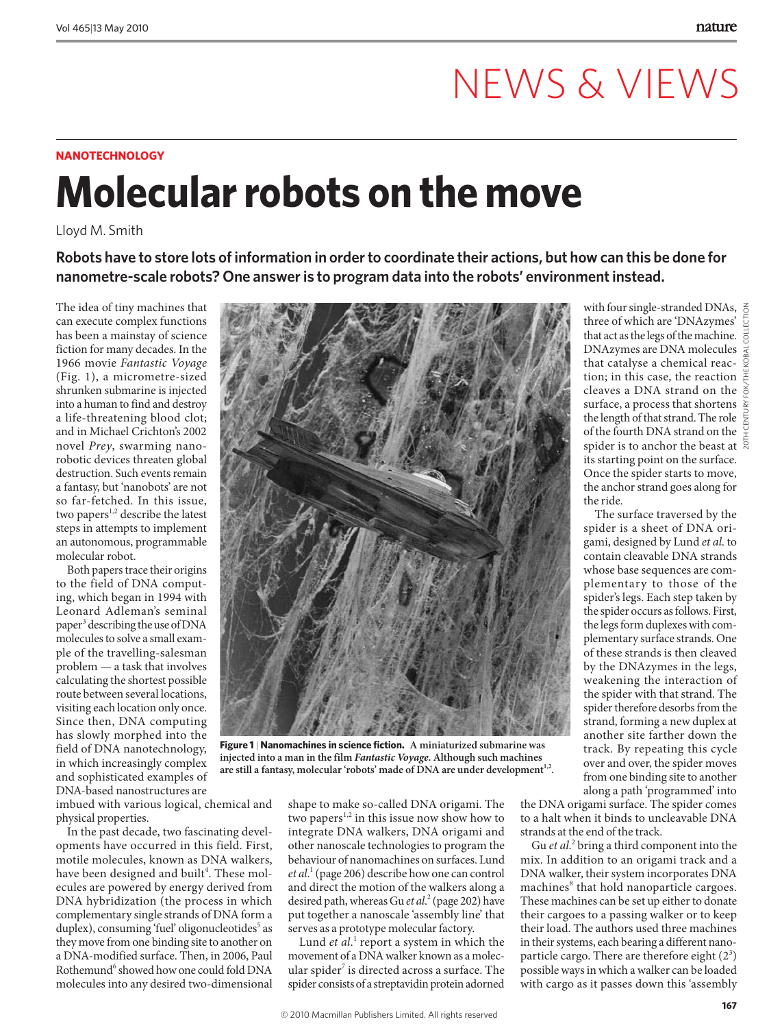## NEWS & VIEWS

### **NaNotechNology**

# **Molecular robots on the move**

Lloyd M. Smith

**Robots have to store lots of information in order to coordinate their actions, but how can this be done for nanometre-scale robots? One answer is to program data into the robots' environment instead.**

The idea of tiny machines that can execute complex functions has been a mainstay of science fiction for many decades. In the 1966 movie *Fantastic Voyage* (Fig. 1), a micrometre-sized shrunken submarine is injected into a human to find and destroy a life-threatening blood clot; and in Michael Crichton's 2002 novel *Prey*, swarming nanorobotic devices threaten global destruction. Such events remain a fantasy, but 'nanobots' are not so far-fetched. In this issue, two papers<sup>1,2</sup> describe the latest steps in attempts to implement an autonomous, programmable molecular robot.

Both papers trace their origins to the field of DNA computing, which began in 1994 with Leonard Adleman's seminal paper<sup>3</sup> describing the use of DNA molecules to solve a small example of the travelling-salesman problem — a task that involves calculating the shortest possible route between several locations, visiting each location only once. Since then, DNA computing has slowly morphed into the field of DNA nanotechnology, in which increasingly complex and sophisticated examples of DNA-based nanostructures are

imbued with various logical, chemical and physical properties.

In the past decade, two fascinating developments have occurred in this field. First, motile molecules, known as DNA walkers, have been designed and built<sup>4</sup>. These molecules are powered by energy derived from DNA hybridization (the process in which complementary single strands of DNA form a duplex), consuming 'fuel' oligonucleotides<sup>5</sup> as they move from one binding site to another on a DNA-modified surface. Then, in 2006, Paul Rothemund<sup>6</sup> showed how one could fold DNA molecules into any desired two-dimensional



**Figure 1** | **Nanomachines in science fiction. A miniaturized submarine was injected into a man in the film** *Fantastic Voyage***. Although such machines**  are still a fantasy, molecular 'robots' made of DNA are under development<sup>1,2</sup>.

shape to make so-called DNA origami. The two papers<sup>1,2</sup> in this issue now show how to integrate DNA walkers, DNA origami and other nanoscale technologies to program the behaviour of nanomachines on surfaces. Lund *et al*. 1 (page 206) describe how one can control and direct the motion of the walkers along a desired path, whereas Gu *et al*. 2 (page 202) have put together a nanoscale 'assembly line' that serves as a prototype molecular factory.

Lund et al.<sup>1</sup> report a system in which the movement of a DNA walker known as a molecular spider<sup>7</sup> is directed across a surface. The spider consists of a streptavidin protein adorned

with four single-stranded DNAs, three of which are 'DNAzymes' that act as the legs of the machine. DNAzymes are DNA molecules that catalyse a chemical reaction; in this case, the reaction  $\frac{w}{\epsilon}$ cleaves a DNA strand on the  $\frac{8}{9}$ surface, a process that shortens  $\frac{1}{2}$ the length of that strand. The role  $\frac{1}{2}$ of the fourth DNA strand on the  $\frac{6}{5}$ spider is to anchor the beast at  $\frac{5}{8}$ its starting point on the surface. Once the spider starts to move, the anchor strand goes along for the ride.

20TH CENTURY FOX/THE KOBAL COLLECTION

The surface traversed by the spider is a sheet of DNA origami, designed by Lund *et al*. to contain cleavable DNA strands whose base sequences are complementary to those of the spider's legs. Each step taken by the spider occurs as follows. First, the legs form duplexes with complementary surface strands. One of these strands is then cleaved by the DNAzymes in the legs, weakening the interaction of the spider with that strand. The spider therefore desorbs from the strand, forming a new duplex at another site farther down the track. By repeating this cycle over and over, the spider moves from one binding site to another

the DNA origami surface. The spider comes to a halt when it binds to uncleavable DNA strands at the end of the track.

along a path 'programmed' into

Gu et al.<sup>2</sup> bring a third component into the mix. In addition to an origami track and a DNA walker, their system incorporates DNA machines<sup>8</sup> that hold nanoparticle cargoes. These machines can be set up either to donate their cargoes to a passing walker or to keep their load. The authors used three machines in their systems, each bearing a different nanoparticle cargo. There are therefore eight  $(2^3)$ possible ways in which a walker can be loaded with cargo as it passes down this 'assembly